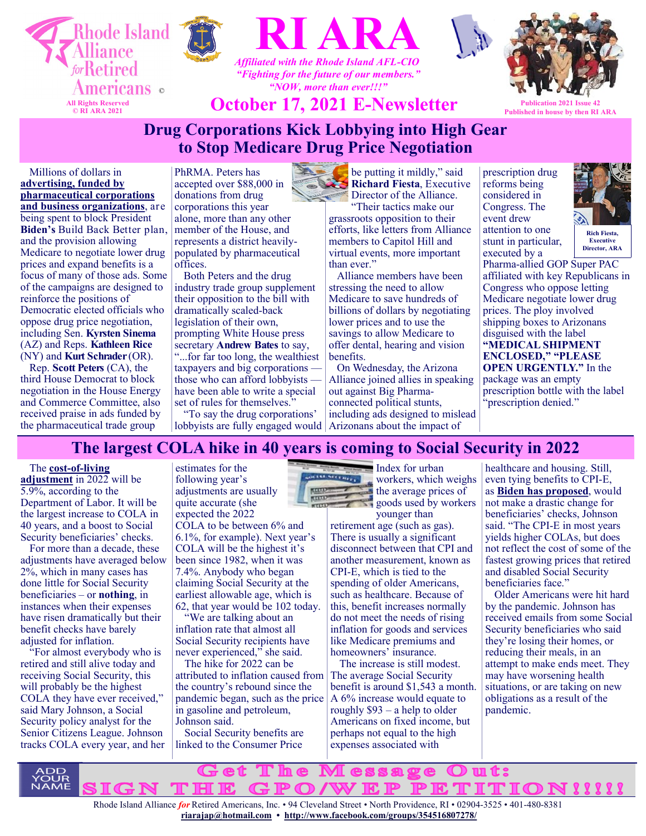





*"Fighting for the future of our members." "NOW, more than ever!!!"*

**October 17, 2021 E-Newsletter Publication 2021 Issue Published in house by then RI ARA**

# **Drug Corporations Kick Lobbying into High Gear to Stop Medicare Drug Price Negotiation**

Millions of dollars in **[advertising, funded by](https://u1584542.ct.sendgrid.net/ss/c/atcYNHk4Eh2YdGnwBh-YDGlyFEPfIQqTPhAJ7ICxnKEJmrndIb8wzF1nf7u9QddE839UFs2vPJIW0DiySdWtehPMmtSEolOOIbr4dFdkQtLMaLvZ39WsC0Ig5W7rbwcW-iWmKT1NPCNuJ_uhwwVtMBzeTvIscDMySmEtHjVt0svwPy5eYNmtnf4uHT0dqmV6PgY2iEPz8gzGPd2vZ1dIOTquIwyWp)  [pharmaceutical corporations](https://u1584542.ct.sendgrid.net/ss/c/atcYNHk4Eh2YdGnwBh-YDGlyFEPfIQqTPhAJ7ICxnKEJmrndIb8wzF1nf7u9QddE839UFs2vPJIW0DiySdWtehPMmtSEolOOIbr4dFdkQtLMaLvZ39WsC0Ig5W7rbwcW-iWmKT1NPCNuJ_uhwwVtMBzeTvIscDMySmEtHjVt0svwPy5eYNmtnf4uHT0dqmV6PgY2iEPz8gzGPd2vZ1dIOTquIwyWp)  [and business organizations](https://u1584542.ct.sendgrid.net/ss/c/atcYNHk4Eh2YdGnwBh-YDGlyFEPfIQqTPhAJ7ICxnKEJmrndIb8wzF1nf7u9QddE839UFs2vPJIW0DiySdWtehPMmtSEolOOIbr4dFdkQtLMaLvZ39WsC0Ig5W7rbwcW-iWmKT1NPCNuJ_uhwwVtMBzeTvIscDMySmEtHjVt0svwPy5eYNmtnf4uHT0dqmV6PgY2iEPz8gzGPd2vZ1dIOTquIwyWp)**, are being spent to block President **Biden's** Build Back Better plan, and the provision allowing Medicare to negotiate lower drug prices and expand benefits is a focus of many of those ads. Some of the campaigns are designed to reinforce the positions of Democratic elected officials who oppose drug price negotiation, including Sen. **Kyrsten Sinema**  (AZ) and Reps. **Kathleen Rice** (NY) and **Kurt Schrader** (OR).

Rep. **Scott Peters** (CA), the third House Democrat to block negotiation in the House Energy and Commerce Committee, also received praise in ads funded by the pharmaceutical trade group

PhRMA. Peters has accepted over \$88,000 in donations from drug corporations this year alone, more than any other member of the House, and represents a district heavilypopulated by pharmaceutical offices.

Both Peters and the drug industry trade group supplement their opposition to the bill with dramatically scaled-back legislation of their own, prompting White House press secretary **Andrew Bates** to say, "...for far too long, the wealthiest taxpayers and big corporations those who can afford lobbyists have been able to write a special set of rules for themselves."

"To say the drug corporations' lobbyists are fully engaged would



"Their tactics make our grassroots opposition to their efforts, like letters from Alliance members to Capitol Hill and virtual events, more important than ever."

Alliance members have been stressing the need to allow Medicare to save hundreds of billions of dollars by negotiating lower prices and to use the savings to allow Medicare to offer dental, hearing and vision benefits.

 On Wednesday, the Arizona Alliance joined allies in speaking out against Big Pharmaconnected political stunts, including ads designed to mislead Arizonans about the impact of

prescription drug reforms being considered in Congress. The event drew attention to one stunt in particular, executed by a



**Executive Director, ARA**

Pharma-allied GOP Super PAC affiliated with key Republicans in Congress who oppose letting Medicare negotiate lower drug prices. The ploy involved shipping boxes to Arizonans disguised with the label **"MEDICAL SHIPMENT ENCLOSED," "PLEASE OPEN URGENTLY."** In the package was an empty prescription bottle with the label 'prescription denied."

## **The largest COLA hike in 40 years is coming to Social Security in 2022**

The **cost-of-[living](https://www.ssa.gov/cola/)** 

**[adjustment](https://www.ssa.gov/cola/)** in 2022 will be 5.9%, according to the Department of Labor. It will be the largest increase to COLA in 40 years, and a boost to Social Security beneficiaries' checks.

For more than a decade, these adjustments have averaged below 2%, which in many cases has done little for Social Security beneficiaries – or **[nothing](https://www.marketwatch.com/story/social-security-recipients-may-be-in-for-a-rude-awakening-later-this-year-2020-05-12?mod=article_inline)**, [i](https://www.marketwatch.com/story/social-security-recipients-may-be-in-for-a-rude-awakening-later-this-year-2020-05-12?mod=article_inline)n instances when their expenses have risen dramatically but their benefit checks have barely adjusted for inflation.

"For almost everybody who is retired and still alive today and receiving Social Security, this will probably be the highest COLA they have ever received," said Mary Johnson, a Social Security policy analyst for the Senior Citizens League. Johnson tracks COLA every year, and her

estimates for the following year's adjustments are usually quite accurate (she expected the 2022

COLA to be between 6% and 6.1%, for example). Next year's COLA will be the highest it's been since 1982, when it was 7.4%. Anybody who began claiming Social Security at the earliest allowable age, which is 62, that year would be 102 today.

"We are talking about an inflation rate that almost all Social Security recipients have never experienced," she said.

The hike for 2022 can be attributed to inflation caused from the country's rebound since the pandemic began, such as the price in gasoline and petroleum, Johnson said.

Social Security benefits are linked to the Consumer Price



Index for urban workers, which weighs the average prices of **goods** used by workers

younger than retirement age (such as gas). There is usually a significant disconnect between that CPI and another measurement, known as CPI-E, which is tied to the spending of older Americans, such as healthcare. Because of this, benefit increases normally do not meet the needs of rising inflation for goods and services like Medicare premiums and homeowners' insurance.

The increase is still modest. The average Social Security benefit is around \$1,543 a month. A 6% increase would equate to roughly \$93 – a help to older Americans on fixed income, but perhaps not equal to the high expenses associated with

healthcare and housing. Still, even tying benefits to CPI-E, as **[Biden has proposed](https://www.marketwatch.com/story/bidens-plan-to-boost-social-security-and-medicare-already-looks-wobbly-2020-11-09?mod=article_inline)**, would not make a drastic change for beneficiaries' checks, Johnson said. "The CPI-E in most years yields higher COLAs, but does not reflect the cost of some of the fastest growing prices that retired and disabled Social Security beneficiaries face."

Older Americans were hit hard by the pandemic. Johnson has received emails from some Social Security beneficiaries who said they're losing their homes, or reducing their meals, in an attempt to make ends meet. They may have worsening health situations, or are taking on new obligations as a result of the pandemic.

et л 'n  $\Box$ un tes  $P$   $P$   $R$ **TITION!!!!**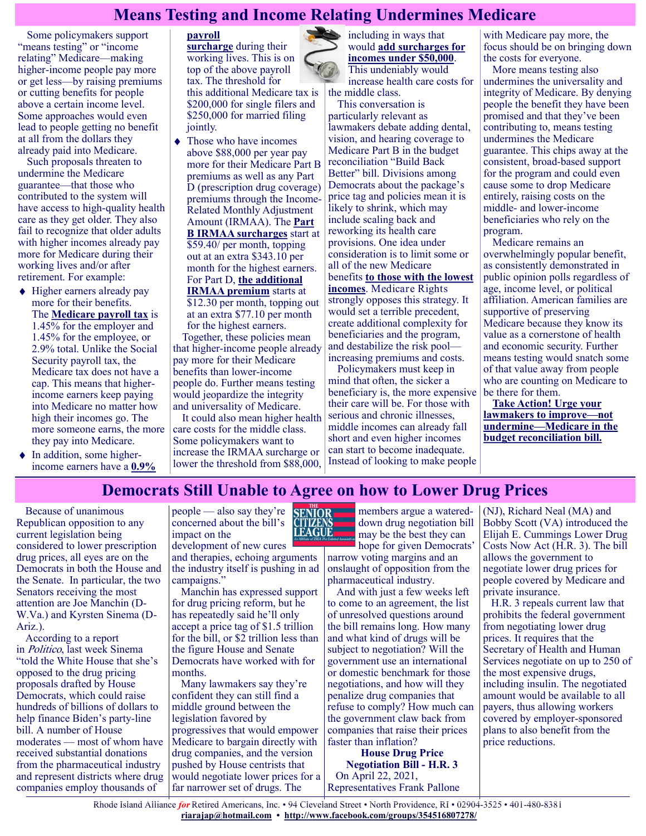# **Means Testing and Income Relating Undermines Medicare**

Some policymakers support "means testing" or "income relating" Medicare—making higher-income people pay more or get less—by raising premiums or cutting benefits for people above a certain income level. Some approaches would even lead to people getting no benefit at all from the dollars they already paid into Medicare.

Such proposals threaten to undermine the Medicare guarantee—that those who contributed to the system will have access to high-quality health care as they get older. They also fail to recognize that older adults with higher incomes already pay more for Medicare during their working lives and/or after retirement. For example:

- $\blacklozenge$  Higher earners already pay more for their benefits. The **[Medicare payroll tax](https://www.irs.gov/taxtopics/tc751)** is 1.45% for the employer and 1.45% for the employee, or 2.9% total. Unlike the Social Security payroll tax, the Medicare tax does not have a cap. This means that higherincome earners keep paying into Medicare no matter how high their incomes go. The more someone earns, the more they pay into Medicare.
- $\bullet$  In addition, some higherincome earners have a **[0.9%](https://www.irs.gov/newsroom/what-is-the-additional-medicare-tax)**

#### **[payroll](https://www.irs.gov/newsroom/what-is-the-additional-medicare-tax)  [surcharge](https://www.irs.gov/newsroom/what-is-the-additional-medicare-tax)** during their working lives. This is on top of the above payroll tax. The threshold for this additional Medicare tax is \$200,000 for single filers and \$250,000 for married filing jointly.

• Those who have incomes above \$88,000 per year pay more for their Medicare Part B premiums as well as any Part D (prescription drug coverage) premiums through the Income-Related Monthly Adjustment Amount (IRMAA). The **[Part](https://www.medicareinteractive.org/get-answers/medicare-health-coverage-options/original-medicare-costs/part-b-costs-for-those-with-higher-incomes)  [B IRMAA surcharges](https://www.medicareinteractive.org/get-answers/medicare-health-coverage-options/original-medicare-costs/part-b-costs-for-those-with-higher-incomes)** start at \$59.40/ per month, topping out at an extra \$343.10 per month for the highest earners. For Part D, **[the additional](https://www.medicareinteractive.org/get-answers/medicare-prescription-drug-coverage-part-d/medicare-part-d-costs/part-d-costs-for-those-with-higher-incomes)  [IRMAA premium](https://www.medicareinteractive.org/get-answers/medicare-prescription-drug-coverage-part-d/medicare-part-d-costs/part-d-costs-for-those-with-higher-incomes)** starts at \$12.30 per month, topping out at an extra \$77.10 per month for the highest earners.

Together, these policies mean that higher-income people already pay more for their Medicare benefits than lower-income people do. Further means testing would jeopardize the integrity and universality of Medicare.

It could also mean higher health care costs for the middle class. Some policymakers want to increase the IRMAA surcharge or lower the threshold from \$88,000, including in ways that would **[add surcharges for](https://www.kff.org/medicare/issue-brief/income-relating-medicare-part-b-and-part/)  [incomes under \\$50,000](https://www.kff.org/medicare/issue-brief/income-relating-medicare-part-b-and-part/)**. This undeniably would increase health care costs for

the middle class. This conversation is particularly relevant as lawmakers debate adding dental, vision, and hearing coverage to Medicare Part B in the budget reconciliation "Build Back Better" bill. Divisions among Democrats about the package's price tag and policies mean it is likely to shrink, which may include scaling back and reworking its health care provisions. One idea under consideration is to limit some or all of the new Medicare benefits **[to those with the lowest](https://news.bloomberglaw.com/health-law-and-business/moderate-democrats-pitch-income-limits-on-new-medicare-benefits)  [incomes](https://news.bloomberglaw.com/health-law-and-business/moderate-democrats-pitch-income-limits-on-new-medicare-benefits)**. Medicare Rights strongly opposes this strategy. It would set a terrible precedent, create additional complexity for beneficiaries and the program, and destabilize the risk pool increasing premiums and costs.

Policymakers must keep in mind that often, the sicker a beneficiary is, the more expensive their care will be. For those with serious and chronic illnesses, middle incomes can already fall short and even higher incomes can start to become inadequate. Instead of looking to make people

with Medicare pay more, the focus should be on bringing down the costs for everyone.

More means testing also undermines the universality and integrity of Medicare. By denying people the benefit they have been promised and that they've been contributing to, means testing undermines the Medicare guarantee. This chips away at the consistent, broad-based support for the program and could even cause some to drop Medicare entirely, raising costs on the middle- and lower-income beneficiaries who rely on the program.

Medicare remains an overwhelmingly popular benefit, as consistently demonstrated in public opinion polls regardless of age, income level, or political affiliation. American families are supportive of preserving Medicare because they know its value as a cornerstone of health and economic security. Further means testing would snatch some of that value away from people who are counting on Medicare to be there for them.

**[Take Action! Urge your](https://actionnetwork.org/letters/act-today-tell-congress-to-strengthen-medicare/?fbclid=IwAR0B5j36qDvZkUOYKSJyFH-AKxnCKqpKk7ECeDPzT_wdx4i4QeDxYHqnec4)  [lawmakers to improve—not](https://actionnetwork.org/letters/act-today-tell-congress-to-strengthen-medicare/?fbclid=IwAR0B5j36qDvZkUOYKSJyFH-AKxnCKqpKk7ECeDPzT_wdx4i4QeDxYHqnec4)  [undermine—Medicare in the](https://actionnetwork.org/letters/act-today-tell-congress-to-strengthen-medicare/?fbclid=IwAR0B5j36qDvZkUOYKSJyFH-AKxnCKqpKk7ECeDPzT_wdx4i4QeDxYHqnec4)  [budget reconciliation bill.](https://actionnetwork.org/letters/act-today-tell-congress-to-strengthen-medicare/?fbclid=IwAR0B5j36qDvZkUOYKSJyFH-AKxnCKqpKk7ECeDPzT_wdx4i4QeDxYHqnec4)**

## **Democrats Still Unable to Agree on how to Lower Drug Prices**

Because of unanimous Republican opposition to any current legislation being considered to lower prescription drug prices, all eyes are on the Democrats in both the House and the Senate. In particular, the two Senators receiving the most attention are Joe Manchin (D-W.Va.) and Kyrsten Sinema (D-Ariz.).

According to a report in Politico, last week Sinema "told the White House that she's opposed to the drug pricing proposals drafted by House Democrats, which could raise hundreds of billions of dollars to help finance Biden's party-line bill. A number of House moderates — most of whom have received substantial donations from the pharmaceutical industry and represent districts where drug companies employ thousands of



and therapies, echoing arguments the industry itself is pushing in ad campaigns."

Manchin has expressed support for drug pricing reform, but he has repeatedly said he'll only accept a price tag of \$1.5 trillion for the bill, or \$2 trillion less than the figure House and Senate Democrats have worked with for months.

Many lawmakers say they're confident they can still find a middle ground between the legislation favored by progressives that would empower Medicare to bargain directly with drug companies, and the version pushed by House centrists that would negotiate lower prices for a far narrower set of drugs. The



members argue a watereddown drug negotiation bill may be the best they can hope for given Democrats'

narrow voting margins and an onslaught of opposition from the pharmaceutical industry.

And with just a few weeks left to come to an agreement, the list of unresolved questions around the bill remains long. How many and what kind of drugs will be subject to negotiation? Will the government use an international or domestic benchmark for those negotiations, and how will they penalize drug companies that refuse to comply? How much can the government claw back from companies that raise their prices faster than inflation?

**House Drug Price Negotiation Bill - H.R. 3** On April 22, 2021, Representatives Frank Pallone (NJ), Richard Neal (MA) and Bobby Scott (VA) introduced the Elijah E. Cummings Lower Drug Costs Now Act (H.R. 3). The bill allows the government to negotiate lower drug prices for people covered by Medicare and private insurance.

 H.R. 3 repeals current law that prohibits the federal government from negotiating lower drug prices. It requires that the Secretary of Health and Human Services negotiate on up to 250 of the most expensive drugs, including insulin. The negotiated amount would be available to all payers, thus allowing workers covered by employer-sponsored plans to also benefit from the price reductions.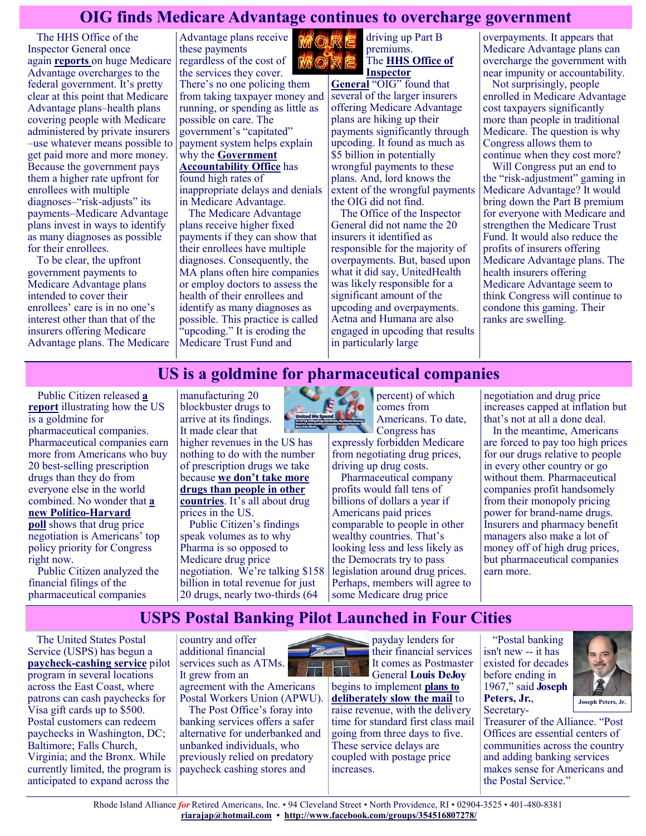## **OIG finds Medicare Advantage continues to overcharge government**

The HHS Office of the Inspector General once again **[reports](https://oig.hhs.gov/oei/reports/OEI-03-17-00474.pdf)** on huge Medicare Advantage overcharges to the federal government. It's pretty clear at this point that Medicare Advantage plans–health plans covering people with Medicare administered by private insurers –use whatever means possible to get paid more and more money. Because the government pays them a higher rate upfront for enrollees with multiple diagnoses–"risk-adjusts" its payments–Medicare Advantage plans invest in ways to identify as many diagnoses as possible for their enrollees.

To be clear, the upfront government payments to Medicare Advantage plans intended to cover their enrollees' care is in no one's interest other than that of the insurers offering Medicare Advantage plans. The Medicare Advantage plans receive these payments regardless of the cost of the services they cover.

There's no one policing them from taking taxpayer money and running, or spending as little as possible on care. The government's "capitated" payment system helps explain why the **[Government](https://justcareusa.org/well-kept-secrets-of-medicare-advantage-plans/)  [Accountability Office](https://justcareusa.org/well-kept-secrets-of-medicare-advantage-plans/)** has found high rates of inappropriate delays and denials in Medicare Advantage.

The Medicare Advantage plans receive higher fixed payments if they can show that their enrollees have multiple diagnoses. Consequently, the MA plans often hire companies or employ doctors to assess the health of their enrollees and identify as many diagnoses as possible. This practice is called "upcoding." It is eroding the Medicare Trust Fund and



premiums. The **[HHS Office of](https://oig.hhs.gov/oei/reports/OEI-03-17-00474.pdf)  [Inspector](https://oig.hhs.gov/oei/reports/OEI-03-17-00474.pdf)** 

**[General](https://oig.hhs.gov/oei/reports/OEI-03-17-00474.pdf)** "OIG" found that several of the larger insurers offering Medicare Advantage plans are hiking up their payments significantly through upcoding. It found as much as \$5 billion in potentially wrongful payments to these plans. And, lord knows the extent of the wrongful payments the OIG did not find.

The Office of the Inspector General did not name the 20 insurers it identified as responsible for the majority of overpayments. But, based upon what it did say, UnitedHealth was likely responsible for a significant amount of the upcoding and overpayments. Aetna and Humana are also engaged in upcoding that results in particularly large

overpayments. It appears that Medicare Advantage plans can overcharge the government with near impunity or accountability.

Not surprisingly, people enrolled in Medicare Advantage cost taxpayers significantly more than people in traditional Medicare. The question is why Congress allows them to continue when they cost more?

Will Congress put an end to the "risk-adjustment" gaming in Medicare Advantage? It would bring down the Part B premium for everyone with Medicare and strengthen the Medicare Trust Fund. It would also reduce the profits of insurers offering Medicare Advantage plans. The health insurers offering Medicare Advantage seem to think Congress will continue to condone this gaming. Their ranks are swelling.

## **US is a goldmine for pharmaceutical companies**

Public Citizen released **[a](https://www.citizen.org/article/united-we-spend-big-pharma-us-international-revenue-report/)  [report](https://www.citizen.org/article/united-we-spend-big-pharma-us-international-revenue-report/)** illustrating how the US is a goldmine for pharmaceutical companies. Pharmaceutical companies earn more from Americans who buy 20 best-selling prescription drugs than they do from everyone else in the world combined. No wonder that **[a](https://www.politico.com/news/2021/10/01/drug-price-negotiation-poll-harvard-514831)  [new Politico](https://www.politico.com/news/2021/10/01/drug-price-negotiation-poll-harvard-514831)-Harvard [poll](https://www.politico.com/news/2021/10/01/drug-price-negotiation-poll-harvard-514831)** shows that drug price negotiation is Americans' top policy priority for Congress right now.

Public Citizen analyzed the financial filings of the pharmaceutical companies

manufacturing 20 blockbuster drugs to arrive at its findings. It made clear that higher revenues in the US has nothing to do with the number of prescription drugs we take because **[we don't take more](https://www.commonwealthfund.org/publications/issue-briefs/2017/oct/paying-prescription-drugs-around-world-why-us-outlier)  [drugs than people in other](https://www.commonwealthfund.org/publications/issue-briefs/2017/oct/paying-prescription-drugs-around-world-why-us-outlier)  [countries](https://www.commonwealthfund.org/publications/issue-briefs/2017/oct/paying-prescription-drugs-around-world-why-us-outlier)**. It's all about drug prices in the US. Public Citizen's findings speak volumes as to why Pharma is so opposed to Medicare drug price negotiation. We're talking \$158 billion in total revenue for just 20 drugs, nearly two-thirds (64



percent) of which comes from Americans. To date, Congress has

expressly forbidden Medicare from negotiating drug prices, driving up drug costs.

Pharmaceutical company profits would fall tens of billions of dollars a year if Americans paid prices comparable to people in other wealthy countries. That's looking less and less likely as the Democrats try to pass legislation around drug prices. Perhaps, members will agree to some Medicare drug price

negotiation and drug price increases capped at inflation but that's not at all a done deal.

In the meantime, Americans are forced to pay too high prices for our drugs relative to people in every other country or go without them. Pharmaceutical companies profit handsomely from their monopoly pricing power for brand-name drugs. Insurers and pharmacy benefit managers also make a lot of money off of high drug prices, but pharmaceutical companies earn more.

# **USPS Postal Banking Pilot Launched in Four Cities**

The United States Postal Service (USPS) has begun a **paycheck-[cashing service](https://u1584542.ct.sendgrid.net/ss/c/atcYNHk4Eh2YdGnwBh-YDDUV27dB1SLFWpo-Uwox6EP8AtdKzwousV6oaNz614BcGfoKTUzUq5fBdVXzYAMjZQRj7aXmI1UHGH_TCMOg-PJkyPDS16SWMfwPfKYQ6GXsrJqjbFwm4AMpYnL19I3B7zBcjdXvmcpbt_txoQX_MrjyYvZAaFU2pS1EqljvuqoaQsq9ywFMrleJMK7LTn8H3CydsgHR3)** pilot program in several locations across the East Coast, where patrons can cash paychecks for Visa gift cards up to \$500. Postal customers can redeem paychecks in Washington, DC; Baltimore; Falls Church, Virginia; and the Bronx. While currently limited, the program is anticipated to expand across the

country and offer additional financial services such as ATMs. It grew from an agreement with the Americans Postal Workers Union (APWU).

The Post Office's foray into banking services offers a safer alternative for underbanked and unbanked individuals, who previously relied on predatory paycheck cashing stores and



General **Louis DeJoy** begins to implement **[plans to](https://u1584542.ct.sendgrid.net/ss/c/atcYNHk4Eh2YdGnwBh-YDDUV27dB1SLFWpo-Uwox6EP8AtdKzwousV6oaNz614BcZjVwbfhDBgUG7fvgIywtzplY0g9rZhhyA8WWBJ_SkcUlKMwcnnIrsWA6CtU_0vGy-6b1_1kMMzFAsTudRf2OhH5CIm8nh-i929f9IXZiqfjZHsC32GcbtglwdvIzMLpP6tpZ0mDYPIsYEGpz-OhsSuGnOFiIg)  [deliberately slow the mail](https://u1584542.ct.sendgrid.net/ss/c/atcYNHk4Eh2YdGnwBh-YDDUV27dB1SLFWpo-Uwox6EP8AtdKzwousV6oaNz614BcZjVwbfhDBgUG7fvgIywtzplY0g9rZhhyA8WWBJ_SkcUlKMwcnnIrsWA6CtU_0vGy-6b1_1kMMzFAsTudRf2OhH5CIm8nh-i929f9IXZiqfjZHsC32GcbtglwdvIzMLpP6tpZ0mDYPIsYEGpz-OhsSuGnOFiIg)** to raise revenue, with the delivery time for standard first class mail going from three days to five. These service delays are coupled with postage price increases.

"Postal banking isn't new -- it has existed for decades before ending in 1967," said **Joseph Peters, Jr.**, Secretary-



Treasurer of the Alliance. "Post Offices are essential centers of communities across the country and adding banking services makes sense for Americans and the Postal Service."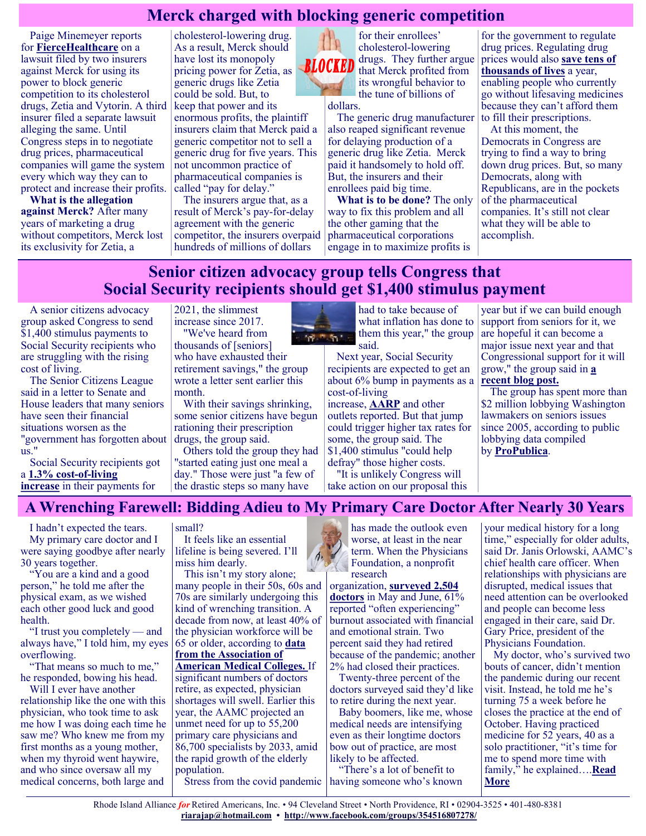## **Merck charged with blocking generic competition**

Paige Minemeyer reports for **[FierceHealthcare](https://www.fiercehealthcare.com/payer/humana-centene-sue-merck-over-pay-for-delay-deal-for-cholesterol-drugs)** on a lawsuit filed by two insurers against Merck for using its power to block generic competition to its cholesterol drugs, Zetia and Vytorin. A third insurer filed a separate lawsuit alleging the same. Until Congress steps in to negotiate drug prices, pharmaceutical companies will game the system every which way they can to protect and increase their profits.

**What is the allegation against Merck?** After many years of marketing a drug without competitors, Merck lost its exclusivity for Zetia, a

cholesterol-lowering drug. As a result, Merck should have lost its monopoly pricing power for Zetia, as generic drugs like Zetia could be sold. But, to keep that power and its enormous profits, the plaintiff insurers claim that Merck paid a generic competitor not to sell a generic drug for five years. This not uncommon practice of pharmaceutical companies is called "pay for delay."

The insurers argue that, as a result of Merck's pay-for-delay agreement with the generic competitor, the insurers overpaid hundreds of millions of dollars

for their enrollees' cholesterol-lowering drugs. They further argue **BLOCKED** that Merck profited from its wrongful behavior to the tune of billions of dollars.

> The generic drug manufacturer also reaped significant revenue for delaying production of a generic drug like Zetia. Merck paid it handsomely to hold off. But, the insurers and their enrollees paid big time.

**What is to be done?** The only way to fix this problem and all the other gaming that the pharmaceutical corporations engage in to maximize profits is

for the government to regulate drug prices. Regulating drug prices would also **[save tens of](https://justcareusa.org/the-deadly-consequences-of-out-of-pocket-drug-costs/)  [thousands of lives](https://justcareusa.org/the-deadly-consequences-of-out-of-pocket-drug-costs/)** a year, enabling people who currently go without lifesaving medicines because they can't afford them to fill their prescriptions.

At this moment, the Democrats in Congress are trying to find a way to bring down drug prices. But, so many Democrats, along with Republicans, are in the pockets of the pharmaceutical companies. It's still not clear what they will be able to accomplish.

## **Senior citizen advocacy group tells Congress that Social Security recipients should get \$1,400 stimulus payment**

A senior citizens advocacy group asked Congress to send \$1,400 stimulus payments to Social Security recipients who are struggling with the rising cost of living.

The Senior Citizens League said in a letter to Senate and House leaders that many seniors have seen their financial situations worsen as the "government has forgotten about us."

Social Security recipients got a **[1.3% cost](https://www.ssa.gov/oact/cola/latestCOLA.html)-of-living [increase](https://www.ssa.gov/oact/cola/latestCOLA.html)** in their payments for

2021, the slimmest increase since 2017. "We've heard from

thousands of [seniors] who have exhausted their retirement savings," the group wrote a letter sent earlier this month.

With their savings shrinking, some senior citizens have begun rationing their prescription drugs, the group said.

Others told the group they had "started eating just one meal a day." Those were just "a few of the drastic steps so many have



had to take because of what inflation has done to them this year," the group said.

Next year, Social Security recipients are expected to get an about 6% bump in payments as a cost-of-living

increase, **[AARP](https://www.aarp.org/retirement/social-security/info-2021/cola-2022-increase-forecast.html)** and other outlets reported. But that jump could trigger higher tax rates for some, the group said. The \$1,400 stimulus "could help defray" those higher costs.

"It is unlikely Congress will take action on our proposal this

year but if we can build enough support from seniors for it, we are hopeful it can become a major issue next year and that Congressional support for it will grow," the group said in **[a](https://seniorsleague.org/weekly-update-for-week-ending-october-2-2021/)  [recent blog post.](https://seniorsleague.org/weekly-update-for-week-ending-october-2-2021/)**

The group has spent more than \$2 million lobbying Washington lawmakers on seniors issues since 2005, according to public lobbying data compiled by **[ProPublica](https://projects.propublica.org/represent/lobbying/search?search=trea+AND+senior+AND+citizens+AND+league)**.

## **A Wrenching Farewell: Bidding Adieu to My Primary Care Doctor After Nearly 30 Years**

I hadn't expected the tears. My primary care doctor and I were saying goodbye after nearly 30 years together.

"You are a kind and a good person," he told me after the physical exam, as we wished each other good luck and good health.

"I trust you completely — and always have," I told him, my eyes overflowing.

"That means so much to me," he responded, bowing his head.

Will I ever have another relationship like the one with this physician, who took time to ask me how I was doing each time he saw me? Who knew me from my first months as a young mother, when my thyroid went haywire, and who since oversaw all my medical concerns, both large and

small?

It feels like an essential lifeline is being severed. I'll miss him dearly.

This isn't my story alone; many people in their 50s, 60s and 70s are similarly undergoing this kind of wrenching transition. A decade from now, at least 40% of the physician workforce will be 65 or older, according to **[data](https://www.aamc.org/news-insights/press-releases/new-aamc-report-confirms-growing-physician-shortage)  [from the Association of](https://www.aamc.org/news-insights/press-releases/new-aamc-report-confirms-growing-physician-shortage)  [American Medical Colleges.](https://www.aamc.org/news-insights/press-releases/new-aamc-report-confirms-growing-physician-shortage)** If significant numbers of doctors retire, as expected, physician shortages will swell. Earlier this year, the AAMC projected an unmet need for up to 55,200 primary care physicians and 86,700 specialists by 2033, amid the rapid growth of the elderly population.

has made the outlook even worse, at least in the near term. When the Physicians Foundation, a nonprofit research

organization, **[surveyed 2,504](https://physiciansfoundation.org/physician-and-patient-surveys/the-physicians-foundation-2021-physician-survey/?utm_source=news&utm_medium=press-release&utm_campaign=PF_Survey_2021&utm_content=PR)  [doctors](https://physiciansfoundation.org/physician-and-patient-surveys/the-physicians-foundation-2021-physician-survey/?utm_source=news&utm_medium=press-release&utm_campaign=PF_Survey_2021&utm_content=PR)** in May and June, 61% reported "often experiencing" burnout associated with financial and emotional strain. Two percent said they had retired because of the pandemic; another 2% had closed their practices.

Twenty-three percent of the doctors surveyed said they'd like to retire during the next year.

Baby boomers, like me, whose medical needs are intensifying even as their longtime doctors bow out of practice, are most likely to be affected.

Stress from the covid pandemic having someone who's known "There's a lot of benefit to

your medical history for a long time," especially for older adults, said Dr. Janis Orlowski, AAMC's chief health care officer. When relationships with physicians are disrupted, medical issues that need attention can be overlooked and people can become less engaged in their care, said Dr. Gary Price, president of the Physicians Foundation.

My doctor, who's survived two bouts of cancer, didn't mention the pandemic during our recent visit. Instead, he told me he's turning 75 a week before he closes the practice at the end of October. Having practiced medicine for 52 years, 40 as a solo practitioner, "it's time for me to spend more time with family," he explained….**[Read](https://khn.org/news/article/retirement-primary-care-physician-finding-new-doctor-after-30-years/)  [More](https://khn.org/news/article/retirement-primary-care-physician-finding-new-doctor-after-30-years/)**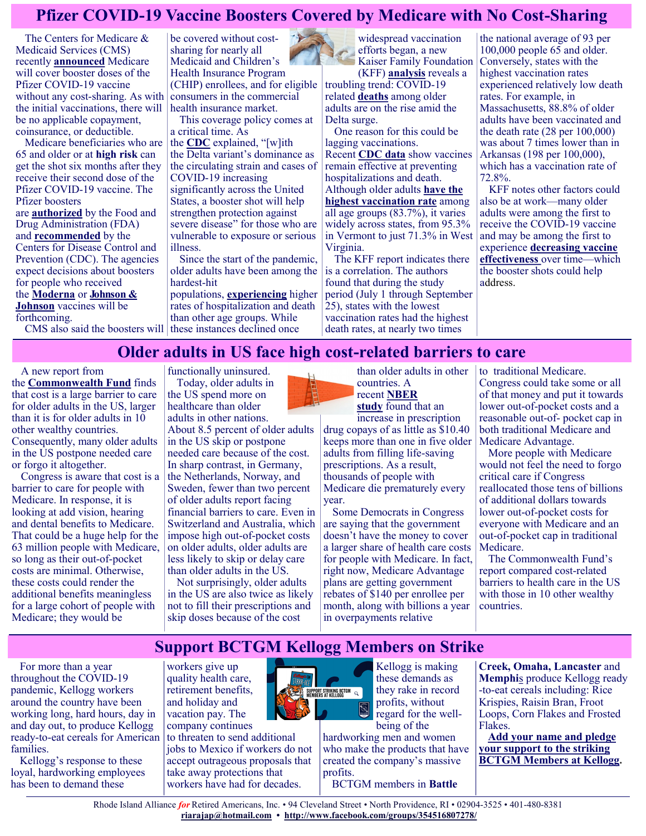## **Pfizer COVID-19 Vaccine Boosters Covered by Medicare with No Cost-Sharing**

The Centers for Medicare & Medicaid Services (CMS) recently **[announced](https://www.cms.gov/newsroom/press-releases/cms-will-pay-covid-19-booster-shots-eligible-consumers-can-receive-no-cost)** Medicare will cover booster doses of the Pfizer COVID-19 vaccine without any cost-sharing. As with the initial vaccinations, there will be no applicable copayment, coinsurance, or deductible.

Medicare beneficiaries who are 65 and older or at **[high risk](https://www.cdc.gov/media/releases/2021/p0924-booster-recommendations-.html)** can get the shot six months after they receive their second dose of the Pfizer COVID-19 vaccine. The Pfizer boosters are **[authorized](https://www.fda.gov/news-events/press-announcements/fda-authorizes-booster-dose-pfizer-biontech-covid-19-vaccine-certain-populations)** by the Food and Drug Administration (FDA) and **[recommended](https://www.cdc.gov/media/releases/2021/p0924-booster-recommendations-.html)** by the Centers for Disease Control and Prevention (CDC). The agencies expect decisions about boosters for people who received the **[Moderna](https://www.cnet.com/health/fda-could-authorize-moderna-covid-booster-vaccine-at-a-half-dose-what-to-know/)** or **[Johnson &](https://www.cnet.com/health/j-j-vaccine-boosters-who-needs-one-and-when-can-you-get-it/)** 

**[Johnson](https://www.cnet.com/health/j-j-vaccine-boosters-who-needs-one-and-when-can-you-get-it/)** vaccines will be forthcoming.

CMS also said the boosters will

be covered without costsharing for nearly all Medicaid and Children's Health Insurance Program (CHIP) enrollees, and for eligible consumers in the commercial health insurance market.

This coverage policy comes at a critical time. As

the **[CDC](https://www.cdc.gov/media/releases/2021/p0924-booster-recommendations-.html)** explained, "[w]ith the Delta variant's dominance as the circulating strain and cases of COVID-19 increasing significantly across the United States, a booster shot will help strengthen protection against severe disease" for those who are vulnerable to exposure or serious illness.

Since the start of the pandemic, older adults have been among the hardest-hit

populations, **[experiencing](https://www.kff.org/policy-watch/covid-19-deaths-among-older-adults-during-the-delta-surge-were-higher-in-states-with-lower-vaccination-rates/)** higher rates of hospitalization and death than other age groups. While these instances declined once

widespread vaccination efforts began, a new Kaiser Family Foundation

(KFF) **[analysis](https://www.kff.org/policy-watch/covid-19-deaths-among-older-adults-during-the-delta-surge-were-higher-in-states-with-lower-vaccination-rates/)** reveals a troubling trend: COVID-19 related **[deaths](https://covid.cdc.gov/covid-data-tracker/#demographicsovertime)** among older adults are on the rise amid the Delta surge.

One reason for this could be lagging vaccinations. Recent **[CDC data](https://www.cdc.gov/vaccines/acip/meetings/downloads/slides-2021-9-23/03-COVID-Oliver.pdf)** show vaccines remain effective at preventing hospitalizations and death. Although older adults **[have the](https://covid.cdc.gov/covid-data-tracker/#vaccination-demographics-trends)  [highest vaccination rate](https://covid.cdc.gov/covid-data-tracker/#vaccination-demographics-trends)** among all age groups (83.7%), it varies widely across states, from 95.3% in Vermont to just 71.3% in West Virginia.

The KFF report indicates there is a correlation. The authors found that during the study period (July 1 through September 25), states with the lowest vaccination rates had the highest death rates, at nearly two times

the national average of 93 per 100,000 people 65 and older. Conversely, states with the highest vaccination rates experienced relatively low death rates. For example, in Massachusetts, 88.8% of older adults have been vaccinated and the death rate (28 per 100,000) was about 7 times lower than in Arkansas (198 per 100,000), which has a vaccination rate of 72.8%.

KFF notes other factors could also be at work—many older adults were among the first to receive the COVID-19 vaccine and may be among the first to experience **[decreasing vaccine](https://www.cdc.gov/mmwr/volumes/70/wr/mm7037a7.htm?s_cid=mm7037a7_w)  [effectiveness](https://www.cdc.gov/mmwr/volumes/70/wr/mm7037a7.htm?s_cid=mm7037a7_w)** over time—which the booster shots could help address.

## **Older adults in US face high cost-related barriers to care**

A new report from

the **[Commonwealth Fund](https://www.commonwealthfund.org/publications/surveys/2021/oct/when-costs-are-barrier-getting-health-care-older-adults-survey)** finds that cost is a large barrier to care for older adults in the US, larger than it is for older adults in 10 other wealthy countries. Consequently, many older adults in the US postpone needed care or forgo it altogether.

Congress is aware that cost is a barrier to care for people with Medicare. In response, it is looking at add vision, hearing and dental benefits to Medicare. That could be a huge help for the 63 million people with Medicare, so long as their out-of-pocket costs are minimal. Otherwise, these costs could render the additional benefits meaningless for a large cohort of people with Medicare; they would be

functionally uninsured. Today, older adults in the US spend more on healthcare than older adults in other nations.

About 8.5 percent of older adults in the US skip or postpone needed care because of the cost. In sharp contrast, in Germany, the Netherlands, Norway, and Sweden, fewer than two percent of older adults report facing financial barriers to care. Even in Switzerland and Australia, which impose high out-of-pocket costs on older adults, older adults are less likely to skip or delay care than older adults in the US.

Not surprisingly, older adults in the US are also twice as likely not to fill their prescriptions and skip doses because of the cost



countries. A recent **[NBER](https://justcareusa.org/the-deadly-consequences-of-out-of-pocket-drug-costs/)**  [study](https://justcareusa.org/the-deadly-consequences-of-out-of-pocket-drug-costs/) found that an increase in prescription

drug copays of as little as \$10.40 keeps more than one in five older adults from filling life-saving prescriptions. As a result, thousands of people with Medicare die prematurely every year.

Some Democrats in Congress are saying that the government doesn't have the money to cover a larger share of health care costs for people with Medicare. In fact, right now, Medicare Advantage plans are getting government rebates of \$140 per enrollee per month, along with billions a year in overpayments relative

to traditional Medicare. Congress could take some or all of that money and put it towards lower out-of-pocket costs and a reasonable out-of- pocket cap in both traditional Medicare and Medicare Advantage.

More people with Medicare would not feel the need to forgo critical care if Congress reallocated those tens of billions of additional dollars towards lower out-of-pocket costs for everyone with Medicare and an out-of-pocket cap in traditional Medicare.

The Commonwealth Fund's report compared cost-related barriers to health care in the US with those in 10 other wealthy countries.

## **Support BCTGM Kellogg Members on Strike**

For more than a year throughout the COVID-19 pandemic, Kellogg workers around the country have been working long, hard hours, day in and day out, to produce Kellogg ready-to-eat cereals for American families.

Kellogg's response to these loyal, hardworking employees has been to demand these

workers give up quality health care, retirement benefits, and holiday and vacation pay. The company continues to threaten to send additional

jobs to Mexico if workers do not accept outrageous proposals that take away protections that workers have had for decades.



Kellogg is making these demands as they rake in record profits, without regard for the wellbeing of the

hardworking men and women who make the products that have created the company's massive profits.

BCTGM members in **[Battle](https://actionnetwork.org/forms/local3g)** 

**[Creek,](https://actionnetwork.org/forms/local3g) [Omaha,](https://actionnetwork.org/forms/local50g) [Lancaster](https://actionnetwork.org/forms/local374g)** and **[Memphi](https://actionnetwork.org/forms/local252g)**s produce Kellogg ready -to-eat cereals including: Rice Krispies, Raisin Bran, Froot Loops, Corn Flakes and Frosted Flakes.

**[Add your name and pledge](https://actionnetwork.org/forms/bctgm-kellogg)  [your support to the striking](https://actionnetwork.org/forms/bctgm-kellogg)  [BCTGM Members at Kellogg.](https://actionnetwork.org/forms/bctgm-kellogg)**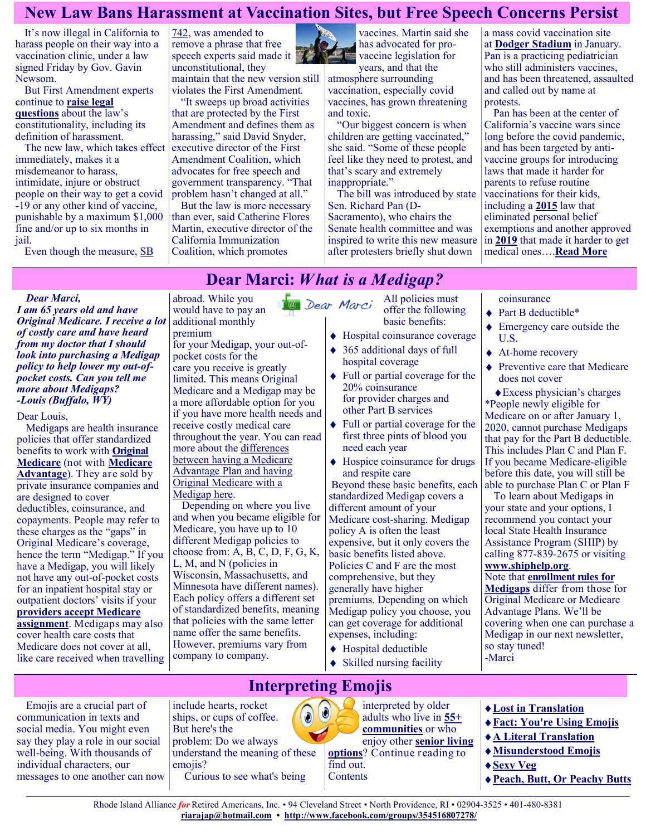## **New Law Bans Harassment at Vaccination Sites, but Free Speech Concerns Persist**

It's now illegal in California to harass people on their way into a vaccination clinic, under a law signed Friday by Gov. Gavin Newsom.

But First Amendment experts continue to **[raise legal](https://californiahealthline.org/news/article/a-california-bill-would-limit-protests-at-vaccination-sites-does-it-violate-the-first-amendment/)  [questions](https://californiahealthline.org/news/article/a-california-bill-would-limit-protests-at-vaccination-sites-does-it-violate-the-first-amendment/)** about the law's constitutionality, including its definition of harassment.

The new law, which takes effect immediately, makes it a misdemeanor to harass, intimidate, injure or obstruct people on their way to get a covid -19 or any other kind of vaccine, punishable by a maximum \$1,000 fine and/or up to six months in jail.

Even though the measure, [SB](https://leginfo.legislature.ca.gov/faces/billTextClient.xhtml?bill_id=202120220SB742) 

[742,](https://leginfo.legislature.ca.gov/faces/billTextClient.xhtml?bill_id=202120220SB742) was amended to remove a phrase that free speech experts said made it unconstitutional, they maintain that the new version still violates the First Amendment.

"It sweeps up broad activities that are protected by the First Amendment and defines them as harassing," said David Snyder, executive director of the First Amendment Coalition, which advocates for free speech and government transparency. "That problem hasn't changed at all."

But the law is more necessary than ever, said Catherine Flores Martin, executive director of the California Immunization Coalition, which promotes

abroad. While you would have to pay an

vaccines. Martin said she has advocated for provaccine legislation for

years, and that the atmosphere surrounding vaccination, especially covid vaccines, has grown threatening and toxic.

"Our biggest concern is when children are getting vaccinated," she said. "Some of these people feel like they need to protest, and that's scary and extremely inappropriate."

The bill was introduced by state Sen. Richard Pan (D-Sacramento), who chairs the Senate health committee and was inspired to write this new measure after protesters briefly shut down

a mass covid vaccination site at **[Dodger Stadium](https://www.latimes.com/california/story/2021-01-30/dodger-stadiums-covid-19-vaccination-site-shutdown-after-dozens-of-protesters-gather-at-entrance)** in January. Pan is a practicing pediatrician who still administers vaccines, and has been threatened, assaulted and called out by name at protests.

Pan has been at the center of California's vaccine wars since long before the covid pandemic, and has been targeted by antivaccine groups for introducing laws that made it harder for parents to refuse routine vaccinations for their kids, including a **[2015](https://leginfo.legislature.ca.gov/faces/billTextClient.xhtml?bill_id=201520160SB277)** law that eliminated personal belief exemptions and another approved in **[2019](https://leginfo.legislature.ca.gov/faces/billTextClient.xhtml?bill_id=201920200SB276)** that made it harder to get medical ones….**[Read More](https://khn.org/news/article/california-law-bans-harassment-at-vaccination-sites-free-speech-concerns/)**

# **Dear Marci:** *What is a Medigap?*

#### *Dear Marci,*

*I am 65 years old and have Original Medicare. I receive a lot of costly care and have heard from my doctor that I should look into purchasing a Medigap policy to help lower my out-ofpocket costs. Can you tell me more about Medigaps? -Louis (Buffalo, WY)*

Dear Louis,

Medigaps are health insurance policies that offer standardized benefits to work with **[Original](https://medicarerights.us15.list-manage.com/track/click?u=1621f54a596f3717c22815356&id=e30574e6b4&e=88d22ba1fe)  [Medicare](https://medicarerights.us15.list-manage.com/track/click?u=1621f54a596f3717c22815356&id=e30574e6b4&e=88d22ba1fe)** (not with **[Medicare](https://medicarerights.us15.list-manage.com/track/click?u=1621f54a596f3717c22815356&id=deb4d516a6&e=88d22ba1fe)  [Advantage](https://medicarerights.us15.list-manage.com/track/click?u=1621f54a596f3717c22815356&id=deb4d516a6&e=88d22ba1fe)**). They are sold by private insurance companies and are designed to cover deductibles, coinsurance, and copayments. People may refer to these charges as the "gaps" in Original Medicare's coverage, hence the term "Medigap." If you have a Medigap, you will likely not have any out-of-pocket costs for an inpatient hospital stay or outpatient doctors' visits if your **[providers accept Medicare](https://medicarerights.us15.list-manage.com/track/click?u=1621f54a596f3717c22815356&id=243bc3b9e5&e=88d22ba1fe)  [assignment](https://medicarerights.us15.list-manage.com/track/click?u=1621f54a596f3717c22815356&id=243bc3b9e5&e=88d22ba1fe)**. Medigaps may also cover health care costs that Medicare does not cover at all, like care received when travelling

additional monthly premium for your Medigap, your out-ofpocket costs for the care you receive is greatly limited. This means Original Medicare and a Medigap may be a more affordable option for you if you have more health needs and receive costly medical care throughout the year. You can read more about the [differences](https://medicarerights.us15.list-manage.com/track/click?u=1621f54a596f3717c22815356&id=0ccaeaf730&e=88d22ba1fe)  [between having a Medicare](https://medicarerights.us15.list-manage.com/track/click?u=1621f54a596f3717c22815356&id=0ccaeaf730&e=88d22ba1fe)  [Advantage Plan and having](https://medicarerights.us15.list-manage.com/track/click?u=1621f54a596f3717c22815356&id=0ccaeaf730&e=88d22ba1fe)  [Original Medicare with a](https://medicarerights.us15.list-manage.com/track/click?u=1621f54a596f3717c22815356&id=0ccaeaf730&e=88d22ba1fe)  [Medigap here.](https://medicarerights.us15.list-manage.com/track/click?u=1621f54a596f3717c22815356&id=0ccaeaf730&e=88d22ba1fe)

Depending on where you live and when you became eligible for Medicare, you have up to 10 different Medigap policies to choose from: A, B, C, D, F, G, K, L, M, and N (policies in Wisconsin, Massachusetts, and Minnesota have different names). Each policy offers a different set of standardized benefits, meaning that policies with the same letter name offer the same benefits. However, premiums vary from company to company.

- All policies must 1<sup>0</sup> Dear Marci offer the following basic benefits:
	- Hospital coinsurance coverage
	- ◆ 365 additional days of full hospital coverage
	- Full or partial coverage for the 20% coinsurance for provider charges and other Part B services
	- Full or partial coverage for the first three pints of blood you need each year
	- Hospice coinsurance for drugs and respite care

Beyond these basic benefits, each standardized Medigap covers a different amount of your Medicare cost-sharing. Medigap policy A is often the least expensive, but it only covers the basic benefits listed above. Policies C and F are the most comprehensive, but they generally have higher premiums. Depending on which Medigap policy you choose, you can get coverage for additional expenses, including:

- Hospital deductible
- ◆ Skilled nursing facility

#### coinsurance

- ◆ Part B deductible\*
- Emergency care outside the U.S.
- ◆ At-home recovery
- ◆ Preventive care that Medicare does not cover

Excess physician's charges \*People newly eligible for Medicare on or after January 1, 2020, cannot purchase Medigaps that pay for the Part B deductible. This includes Plan C and Plan F. If you became Medicare-eligible before this date, you will still be able to purchase Plan C or Plan F

To learn about Medigaps in your state and your options, I recommend you contact your local State Health Insurance Assistance Program (SHIP) by calling 877-839-2675 or visiting **[www.shiphelp.org](https://medicarerights.us15.list-manage.com/track/click?u=1621f54a596f3717c22815356&id=86de59d850&e=88d22ba1fe)**.

Note that **[enrollment rules for](https://medicarerights.us15.list-manage.com/track/click?u=1621f54a596f3717c22815356&id=5682e52dee&e=88d22ba1fe)  [Medigaps](https://medicarerights.us15.list-manage.com/track/click?u=1621f54a596f3717c22815356&id=5682e52dee&e=88d22ba1fe)** differ from those for Original Medicare or Medicare Advantage Plans. We'll be covering when one can purchase a Medigap in our next newsletter, so stay tuned! -Marci

Emojis are a crucial part of communication in texts and social media. You might even say they play a role in our social well-being. With thousands of individual characters, our messages to one another can now

include hearts, rocket  $\ddot{\mathbf{0}}$ ships, or cups of coffee. But here's the problem: Do we always understand the meaning of these emojis? Curious to see what's being

#### interpreted by older adults who live in **[55+](https://www.greatseniorliving.com/living-options/55-plus-communities)  [communities](https://www.greatseniorliving.com/living-options/55-plus-communities)** or who enjoy other **[senior living](https://www.greatseniorliving.com/living-options/)  [options](https://www.greatseniorliving.com/living-options/)**? Continue reading to find out. **Contents**

- **[Lost in Translation](https://www.greatseniorliving.com/articles/interpreting-emojis#translation)**
- **[Fact: You're Using Emojis](https://www.greatseniorliving.com/articles/interpreting-emojis#fact)**
- **[A Literal Translation](https://www.greatseniorliving.com/articles/interpreting-emojis#literal-translation)**
- **[Misunderstood Emojis](https://www.greatseniorliving.com/articles/interpreting-emojis#misunderstood-emojis)**
- **[Sexy Veg](https://www.greatseniorliving.com/articles/interpreting-emojis#sexy-veg)**
- **[Peach, Butt, Or Peachy Butts](https://www.greatseniorliving.com/articles/interpreting-emojis#peach-butt)**

Rhode Island Alliance *for* Retired Americans, Inc. • 94 Cleveland Street • North Providence, RI • 02904-3525 • 401-480-8381 **[riarajap@hotmail.com](mailto:riarajap@hotmail.com) • [http://www.facebook.com/groups/354516807278/](https://www.facebook.com/groups/354516807278/)**

**Interpreting Emojis**

 $\ddot{\bullet}$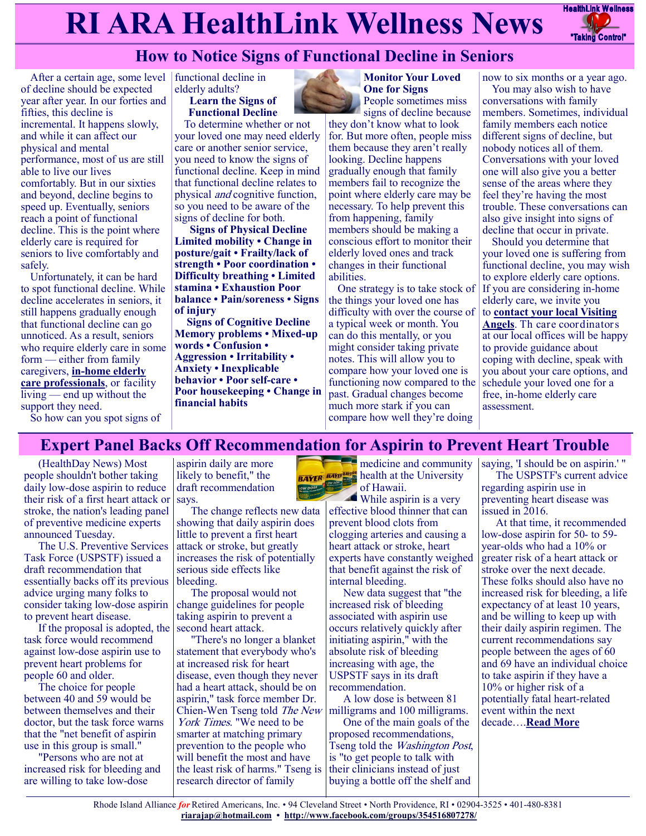# **RI ARA HealthLink Wellness News** Fractific Link Wellness



# **How to Notice Signs of Functional Decline in Seniors**

After a certain age, some level of decline should be expected year after year. In our forties and fifties, this decline is incremental. It happens slowly, and while it can affect our physical and mental performance, most of us are still able to live our lives comfortably. But in our sixties and beyond, decline begins to speed up. Eventually, seniors reach a point of functional decline. This is the point where elderly care is required for seniors to live comfortably and safely.

Unfortunately, it can be hard to spot functional decline. While decline accelerates in seniors, it still happens gradually enough that functional decline can go unnoticed. As a result, seniors who require elderly care in some form — either from family caregivers, **in-[home elderly](https://www.visitingangels.com/office-locator)  [care professionals](https://www.visitingangels.com/office-locator)**, or facility living — end up without the support they need. So how can you spot signs of

functional decline in elderly adults?

**Learn the Signs of Functional Decline**

To determine whether or not your loved one may need elderly care or another senior service, you need to know the signs of functional decline. Keep in mind that functional decline relates to physical and cognitive function, so you need to be aware of the signs of decline for both.

**Signs of Physical Decline Limited mobility • Change in posture/gait • Frailty/lack of strength • Poor coordination • Difficulty breathing • Limited stamina • Exhaustion Poor balance • Pain/soreness • Signs of injury**

**Signs of Cognitive Decline Memory problems • Mixed-up words • Confusion • Aggression • Irritability • Anxiety • Inexplicable behavior • Poor self-care • Poor housekeeping • Change in financial habits**



**Monitor Your Loved One for Signs** People sometimes miss

signs of decline because they don't know what to look for. But more often, people miss them because they aren't really looking. Decline happens gradually enough that family members fail to recognize the point where elderly care may be necessary. To help prevent this from happening, family members should be making a conscious effort to monitor their elderly loved ones and track changes in their functional abilities.

One strategy is to take stock of the things your loved one has difficulty with over the course of a typical week or month. You can do this mentally, or you might consider taking private notes. This will allow you to compare how your loved one is functioning now compared to the past. Gradual changes become much more stark if you can compare how well they're doing

now to six months or a year ago.

You may also wish to have conversations with family members. Sometimes, individual family members each notice different signs of decline, but nobody notices all of them. Conversations with your loved one will also give you a better sense of the areas where they feel they're having the most trouble. These conversations can also give insight into signs of decline that occur in private.

Should you determine that your loved one is suffering from functional decline, you may wish to explore elderly care options. If you are considering in-home elderly care, we invite you to **[contact your local Visiting](https://www.visitingangels.com/office-locator)  [Angels](https://www.visitingangels.com/office-locator)**. Th care coordinators at our local offices will be happy to provide guidance about coping with decline, speak with you about your care options, and schedule your loved one for a free, in-home elderly care assessment.

# **Expert Panel Backs Off Recommendation for Aspirin to Prevent Heart Trouble**

(HealthDay News) Most people shouldn't bother taking daily low-dose aspirin to reduce their risk of a first heart attack or stroke, the nation's leading panel of preventive medicine experts announced Tuesday.

The U.S. Preventive Services Task Force (USPSTF) issued a draft recommendation that essentially backs off its previous advice urging many folks to consider taking low-dose aspirin to prevent heart disease.

If the proposal is adopted, the task force would recommend against low-dose aspirin use to prevent heart problems for people 60 and older.

The choice for people between 40 and 59 would be between themselves and their doctor, but the task force warns that the "net benefit of aspirin use in this group is small."

"Persons who are not at increased risk for bleeding and are willing to take low-dose

aspirin daily are more likely to benefit," the draft recommendation says.

The change reflects new data showing that daily aspirin does little to prevent a first heart attack or stroke, but greatly increases the risk of potentially serious side effects like bleeding.

The proposal would not change guidelines for people taking aspirin to prevent a second heart attack.

"There's no longer a blanket statement that everybody who's at increased risk for heart disease, even though they never had a heart attack, should be on aspirin," task force member Dr. Chien-Wen Tseng told The New York Times. "We need to be smarter at matching primary prevention to the people who will benefit the most and have the least risk of harms." Tseng is research director of family

**Manual** medicine and community

**BAYER** BAYER health at the University of Hawaii. While aspirin is a very

effective blood thinner that can prevent blood clots from clogging arteries and causing a heart attack or stroke, heart experts have constantly weighed that benefit against the risk of internal bleeding.

New data suggest that "the increased risk of bleeding associated with aspirin use occurs relatively quickly after initiating aspirin," with the absolute risk of bleeding increasing with age, the USPSTF says in its draft recommendation.

A low dose is between 81 milligrams and 100 milligrams.

One of the main goals of the proposed recommendations, Tseng told the Washington Post, is "to get people to talk with their clinicians instead of just buying a bottle off the shelf and

saying, 'I should be on aspirin.' " The USPSTF's current advice regarding aspirin use in preventing heart disease was issued in 2016.

At that time, it recommended low-dose aspirin for 50- to 59 year-olds who had a 10% or greater risk of a heart attack or stroke over the next decade. These folks should also have no increased risk for bleeding, a life expectancy of at least 10 years, and be willing to keep up with their daily aspirin regimen. The current recommendations say people between the ages of 60 and 69 have an individual choice to take aspirin if they have a 10% or higher risk of a potentially fatal heart-related event within the next decade….**[Read More](https://consumer.healthday.com/10-12-expert-panel-rescinds-recommendation-for-low-dose-aspirin-to-prevent-heart-trouble-cancer-2655282173.html)**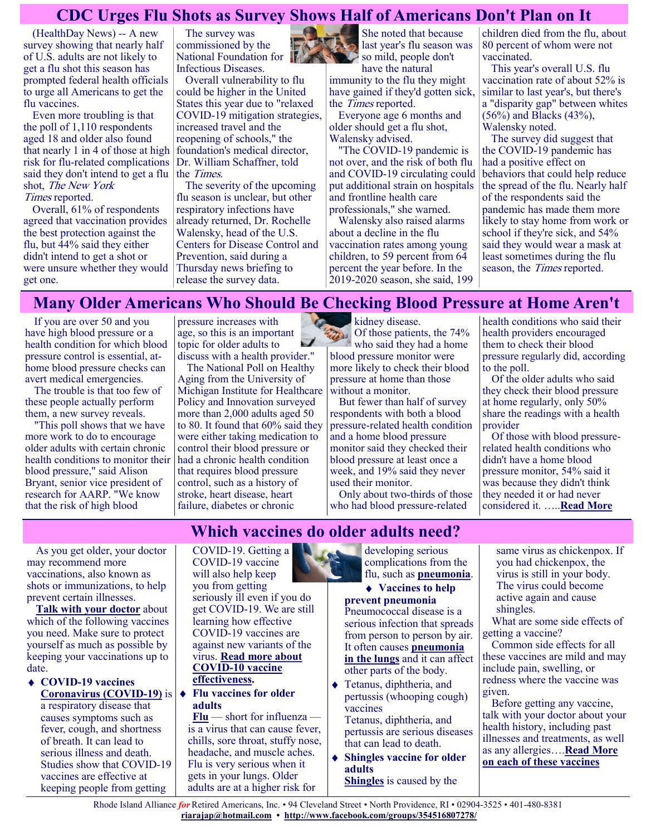## **CDC Urges Flu Shots as Survey Shows Half of Americans Don't Plan on It**

(HealthDay News) -- A new survey showing that nearly half of U.S. adults are not likely to get a flu shot this season has prompted federal health officials to urge all Americans to get the flu vaccines.

Even more troubling is that the poll of 1,110 respondents aged 18 and older also found that nearly 1 in 4 of those at high risk for flu-related complications said they don't intend to get a flu shot, The New York Times reported.

Overall, 61% of respondents agreed that vaccination provides the best protection against the flu, but 44% said they either didn't intend to get a shot or were unsure whether they would get one.

The survey was commissioned by the National Foundation for Infectious Diseases.

Overall vulnerability to flu could be higher in the United States this year due to "relaxed COVID-19 mitigation strategies, increased travel and the reopening of schools," the foundation's medical director, Dr. William Schaffner, told the Times.

The severity of the upcoming flu season is unclear, but other respiratory infections have already returned, Dr. Rochelle Walensky, head of the U.S. Centers for Disease Control and Prevention, said during a Thursday news briefing to release the survey data.



She noted that because last year's flu season was so mild, people don't have the natural

immunity to the flu they might have gained if they'd gotten sick, the Times reported.

Everyone age 6 months and older should get a flu shot, Walensky advised.

"The COVID-19 pandemic is not over, and the risk of both flu and COVID-19 circulating could put additional strain on hospitals and frontline health care professionals," she warned.

Walensky also raised alarms about a decline in the flu vaccination rates among young children, to 59 percent from 64 percent the year before. In the 2019-2020 season, she said, 199 children died from the flu, about 80 percent of whom were not vaccinated.

This year's overall U.S. flu vaccination rate of about 52% is similar to last year's, but there's a "disparity gap" between whites (56%) and Blacks (43%), Walensky noted.

The survey did suggest that the COVID-19 pandemic has had a positive effect on behaviors that could help reduce the spread of the flu. Nearly half of the respondents said the pandemic has made them more likely to stay home from work or school if they're sick, and 54% said they would wear a mask at least sometimes during the flu season, the Times reported.

## **Many Older Americans Who Should Be Checking Blood Pressure at Home Aren't**

If you are over 50 and you have high blood pressure or a health condition for which blood pressure control is essential, athome blood pressure checks can avert medical emergencies.

The trouble is that too few of these people actually perform them, a new survey reveals.

"This poll shows that we have more work to do to encourage older adults with certain chronic health conditions to monitor their blood pressure," said Alison Bryant, senior vice president of research for AARP. "We know that the risk of high blood

pressure increases with age, so this is an important topic for older adults to discuss with a health provider."

The National Poll on Healthy Aging from the University of Michigan Institute for Healthcare Policy and Innovation surveyed more than 2,000 adults aged 50 to 80. It found that 60% said they were either taking medication to control their blood pressure or had a chronic health condition that requires blood pressure control, such as a history of stroke, heart disease, heart failure, diabetes or chronic

kidney disease.  $\Omega_{\ell}$  Of those patients, the 74% who said they had a home blood pressure monitor were more likely to check their blood pressure at home than those without a monitor.

But fewer than half of survey respondents with both a blood pressure-related health condition and a home blood pressure monitor said they checked their blood pressure at least once a week, and 19% said they never used their monitor.

Only about two-thirds of those who had blood pressure-related

health conditions who said their health providers encouraged them to check their blood pressure regularly did, according to the poll.

Of the older adults who said they check their blood pressure at home regularly, only 50% share the readings with a health provider

Of those with blood pressurerelated health conditions who didn't have a home blood pressure monitor, 54% said it was because they didn't think they needed it or had never considered it. …..**[Read More](https://consumer.healthday.com/b-10-11-many-older-americans-who-should-be-checking-blood-pressure-at-home-aren-t-poll-2655223353.html)**

As you get older, your doctor may recommend more vaccinations, also known as shots or immunizations, to help prevent certain illnesses.

**[Talk with your doctor](https://www.nia.nih.gov/health/discussing-health-decisions-your-doctor)** about which of the following vaccines you need. Make sure to protect yourself as much as possible by keeping your vaccinations up to date.

**COVID-19 vaccines [Coronavirus \(COVID](https://www.niaid.nih.gov/diseases-conditions/coronaviruses)-19)** is a respiratory disease that causes symptoms such as fever, cough, and shortness of breath. It can lead to serious illness and death. Studies show that COVID-19 vaccines are effective at keeping people from getting

# **Which vaccines do older adults need?**

COVID-19. Getting a COVID-19 vaccine will also help keep you from getting seriously ill even if you do get COVID-19. We are still learning how effective COVID-19 vaccines are against new variants of the virus. **[Read more about](https://www.cdc.gov/coronavirus/2019-ncov/vaccines/keythingstoknow.html)  COVID-[10 vaccine](https://www.cdc.gov/coronavirus/2019-ncov/vaccines/keythingstoknow.html)  [effectiveness.](https://www.cdc.gov/coronavirus/2019-ncov/vaccines/keythingstoknow.html)**

#### **Flu vaccines for older adults**

**[Flu](https://www.nia.nih.gov/health/all-about-flu-and-how-prevent-it)** — short for influenza is a virus that can cause fever, chills, sore throat, stuffy nose, headache, and muscle aches. Flu is very serious when it gets in your lungs. Older adults are at a higher risk for

developing serious complications from the flu, such as **[pneumonia](https://www.nia.nih.gov/health/vaccinations-older-adults#pneumonia)**.

### **Vaccines to help**

**prevent pneumonia** Pneumococcal disease is a serious infection that spreads from person to person by air. It often causes **[pneumonia](https://www.nhlbi.nih.gov/health-topics/pneumonia)  [in the lungs](https://www.nhlbi.nih.gov/health-topics/pneumonia)** and it can affect other parts of the body.

- Tetanus, diphtheria, and pertussis (whooping cough) vaccines
	- Tetanus, diphtheria, and pertussis are serious diseases that can lead to death.
- **Shingles vaccine for older adults [Shingles](https://www.nia.nih.gov/health/shingles)** is caused by the

same virus as chickenpox. If you had chickenpox, the virus is still in your body. The virus could become active again and cause shingles.

What are some side effects of getting a vaccine?

Common side effects for all these vaccines are mild and may include pain, swelling, or redness where the vaccine was given.

Before getting any vaccine, talk with your doctor about your health history, including past illnesses and treatments, as well as any allergies….**[Read More](https://www.nia.nih.gov/health/vaccinations-older-adults)  [on each of these vaccines](https://www.nia.nih.gov/health/vaccinations-older-adults)**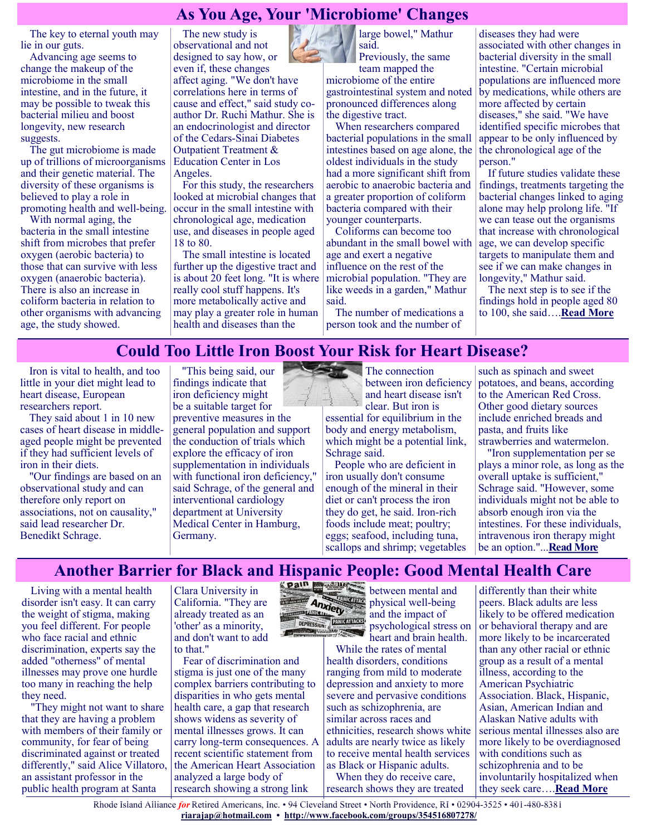## **As You Age, Your 'Microbiome' Changes**

The key to eternal youth may lie in our guts.

Advancing age seems to change the makeup of the microbiome in the small intestine, and in the future, it may be possible to tweak this bacterial milieu and boost longevity, new research suggests.

The gut microbiome is made up of trillions of microorganisms and their genetic material. The diversity of these organisms is believed to play a role in promoting health and well-being.

With normal aging, the bacteria in the small intestine shift from microbes that prefer oxygen (aerobic bacteria) to those that can survive with less oxygen (anaerobic bacteria). There is also an increase in coliform bacteria in relation to other organisms with advancing age, the study showed.

The new study is observational and not designed to say how, or even if, these changes affect aging. "We don't have correlations here in terms of cause and effect," said study coauthor Dr. Ruchi Mathur. She is an endocrinologist and director of the Cedars-Sinai Diabetes Outpatient Treatment & Education Center in Los Angeles.

For this study, the researchers looked at microbial changes that occur in the small intestine with chronological age, medication use, and diseases in people aged 18 to 80.

The small intestine is located further up the digestive tract and is about 20 feet long. "It is where really cool stuff happens. It's more metabolically active and may play a greater role in human health and diseases than the



large bowel," Mathur said. Previously, the same

team mapped the microbiome of the entire gastrointestinal system and noted pronounced differences along the digestive tract.

When researchers compared bacterial populations in the small intestines based on age alone, the oldest individuals in the study had a more significant shift from aerobic to anaerobic bacteria and a greater proportion of coliform bacteria compared with their younger counterparts.

Coliforms can become too abundant in the small bowel with age and exert a negative influence on the rest of the microbial population. "They are like weeds in a garden," Mathur said.

The number of medications a person took and the number of

diseases they had were associated with other changes in bacterial diversity in the small intestine. "Certain microbial populations are influenced more by medications, while others are more affected by certain diseases," she said. "We have identified specific microbes that appear to be only influenced by the chronological age of the person."

If future studies validate these findings, treatments targeting the bacterial changes linked to aging alone may help prolong life. "If we can tease out the organisms that increase with chronological age, we can develop specific targets to manipulate them and see if we can make changes in longevity," Mathur said.

The next step is to see if the findings hold in people aged 80 to 100, she said….**[Read More](https://consumer.healthday.com/here-s-how-aging-harms-your-gut-bacteria-2655204769.html)**

## **Could Too Little Iron Boost Your Risk for Heart Disease?**

Iron is vital to health, and too little in your diet might lead to heart disease, European researchers report.

They said about 1 in 10 new cases of heart disease in middleaged people might be prevented if they had sufficient levels of iron in their diets.

"Our findings are based on an observational study and can therefore only report on associations, not on causality," said lead researcher Dr. Benedikt Schrage.

"This being said, our findings indicate that iron deficiency might be a suitable target for preventive measures in the general population and support the conduction of trials which explore the efficacy of iron supplementation in individuals with functional iron deficiency," said Schrage, of the general and interventional cardiology department at University Medical Center in Hamburg, Germany.

**The connection** between iron deficiency and heart disease isn't clear. But iron is

essential for equilibrium in the body and energy metabolism, which might be a potential link, Schrage said.

People who are deficient in iron usually don't consume enough of the mineral in their diet or can't process the iron they do get, he said. Iron-rich foods include meat; poultry; eggs; seafood, including tuna, scallops and shrimp; vegetables such as spinach and sweet potatoes, and beans, according to the American Red Cross. Other good dietary sources include enriched breads and pasta, and fruits like strawberries and watermelon.

"Iron supplementation per se plays a minor role, as long as the overall uptake is sufficient," Schrage said. "However, some individuals might not be able to absorb enough iron via the intestines. For these individuals, intravenous iron therapy might be an option."...**[Read More](https://consumer.healthday.com/10-6-could-too-little-iron-be-boosting-heart-disease-rates-2655217783.html)**

## **Another Barrier for Black and Hispanic People: Good Mental Health Care**

Living with a mental health disorder isn't easy. It can carry the weight of stigma, making you feel different. For people who face racial and ethnic discrimination, experts say the added "otherness" of mental illnesses may prove one hurdle too many in reaching the help they need.

"They might not want to share that they are having a problem with members of their family or community, for fear of being discriminated against or treated differently," said Alice Villatoro, an assistant professor in the public health program at Santa

Clara University in California. "They are already treated as an 'other' as a minority, and don't want to add to that."

Fear of discrimination and stigma is just one of the many complex barriers contributing to disparities in who gets mental health care, a gap that research shows widens as severity of mental illnesses grows. It can carry long-term consequences. A recent scientific statement from the American Heart Association analyzed a large body of research showing a strong link



**Physical well-being**<br>**Anxiety**<br>and the impact of and the impact of psychological stress on

heart and brain health. While the rates of mental health disorders, conditions ranging from mild to moderate depression and anxiety to more severe and pervasive conditions such as schizophrenia, are similar across races and ethnicities, research shows white adults are nearly twice as likely to receive mental health services as Black or Hispanic adults.

When they do receive care, research shows they are treated

differently than their white peers. Black adults are less likely to be offered medication or behavioral therapy and are more likely to be incarcerated than any other racial or ethnic group as a result of a mental illness, according to the American Psychiatric Association. Black, Hispanic, Asian, American Indian and Alaskan Native adults with serious mental illnesses also are more likely to be overdiagnosed with conditions such as schizophrenia and to be involuntarily hospitalized when they seek care….**[Read More](https://consumer.healthday.com/aha-news-another-barrier-for-black-and-hispanic-people-good-mental-health-care-2655237366.html)**